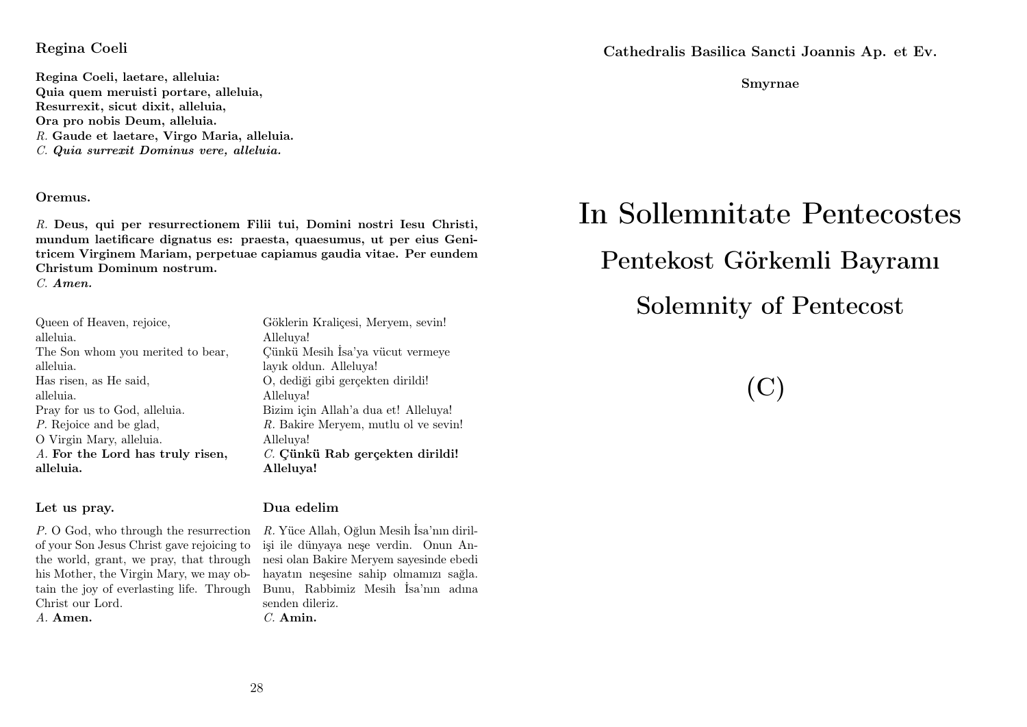#### Regina Coeli

Regina Coeli, laetare, alleluia: Quia quem meruisti portare, alleluia, Resurrexit, sicut dixit, alleluia, Ora pro nobis Deum, alleluia. R. Gaude et laetare, Virgo Maria, alleluia. C. Quia surrexit Dominus vere, alleluia.

#### Oremus.

R. Deus, qui per resurrectionem Filii tui, Domini nostri Iesu Christi, mundum laetificare dignatus es: praesta, quaesumus, ut per eius Genitricem Virginem Mariam, perpetuae capiamus gaudia vitae. Per eundem Christum Dominum nostrum.

C. Amen.

Queen of Heaven, rejoice, alleluia. The Son whom you merited to bear, alleluia. Has risen, as He said, alleluia. Pray for us to God, alleluia. P. Rejoice and be glad, O Virgin Mary, alleluia. A. For the Lord has truly risen, alleluia.

#### Let us pray.

P. O God, who through the resurrection of your Son Jesus Christ gave rejoicing to the world, grant, we pray, that through his Mother, the Virgin Mary, we may obtain the joy of everlasting life. Through Christ our Lord. A. Amen.

Alleluya! Çünkü Mesih İsa'ya vücut vermeye layık oldun. Alleluya! O, dediği gibi gerçekten dirildi! Alleluya! Bizim için Allah'a dua et! Alleluya! R. Bakire Meryem, mutlu ol ve sevin! Alleluya! C. Çünkü Rab gerçekten dirildi! Alleluya!

Göklerin Kraliçesi, Meryem, sevin!

#### Dua edelim

R. Yüce Allah, Oğlun Mesih İsa'nın dirilişi ile dünyaya neşe verdin. Onun Annesi olan Bakire Meryem sayesinde ebedi hayatın neşesine sahip olmamızı sağla. Bunu, Rabbimiz Mesih İsa'nın adına senden dileriz.  $C.$  Amin.

Cathedralis Basilica Sancti Joannis Ap. et Ev.

Smyrnae

# In Sollemnitate Pentecostes

# Pentekost Görkemli Bayramı

Solemnity of Pentecost

# (C)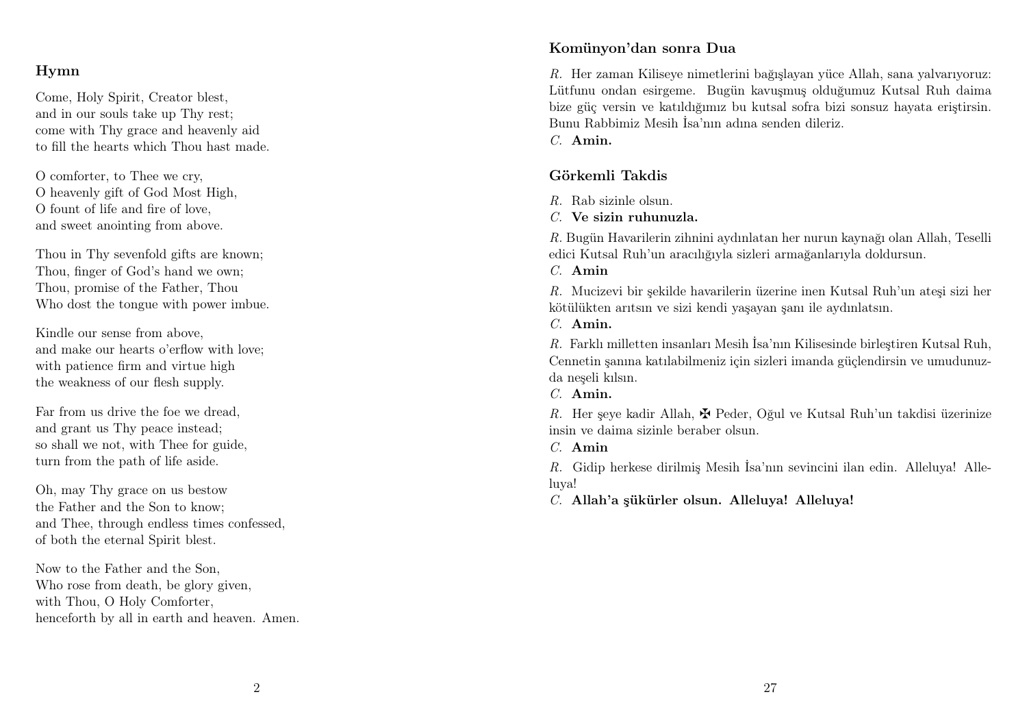#### Hymn

Come, Holy Spirit, Creator blest, and in our souls take up Thy rest; come with Thy grace and heavenly aid to fill the hearts which Thou hast made.

O comforter, to Thee we cry, O heavenly gift of God Most High, O fount of life and fire of love, and sweet anointing from above.

Thou in Thy sevenfold gifts are known; Thou, finger of God's hand we own; Thou, promise of the Father, Thou Who dost the tongue with power imbue.

Kindle our sense from above, and make our hearts o'erflow with love; with patience firm and virtue high the weakness of our flesh supply.

Far from us drive the foe we dread, and grant us Thy peace instead; so shall we not, with Thee for guide, turn from the path of life aside.

Oh, may Thy grace on us bestow the Father and the Son to know; and Thee, through endless times confessed, of both the eternal Spirit blest.

Now to the Father and the Son, Who rose from death, be glory given, with Thou, O Holy Comforter, henceforth by all in earth and heaven. Amen.

#### Komünyon'dan sonra Dua

R. Her zaman Kiliseye nimetlerini bağışlayan yüce Allah, sana yalvarıyoruz: Lütfunu ondan esirgeme. Bugün kavuşmuş olduğumuz Kutsal Ruh daima bize güç versin ve katıldığımız bu kutsal sofra bizi sonsuz hayata eriştirsin. Bunu Rabbimiz Mesih İsa'nın adına senden dileriz.

C. Amin.

#### Görkemli Takdis

 $R$ . Rab sizinle olsun.

C. Ve sizin ruhunuzla.

R. Bugün Havarilerin zihnini aydınlatan her nurun kaynağı olan Allah, Teselli edici Kutsal Ruh'un aracılığıyla sizleri armağanlarıyla doldursun.

C. Amin

R. Mucizevi bir şekilde havarilerin üzerine inen Kutsal Ruh'un ateşi sizi her kötülükten arıtsın ve sizi kendi yaşayan şanı ile aydınlatsın.

C. Amin.

R. Farklı milletten insanları Mesih İsa'nın Kilisesinde birleştiren Kutsal Ruh, Cennetin şanına katılabilmeniz için sizleri imanda güçlendirsin ve umudunuzda neşeli kılsın.

C. Amin.

R. Her seye kadir Allah,  $\mathbf{\Psi}$  Peder, Oğul ve Kutsal Ruh'un takdisi üzerinize insin ve daima sizinle beraber olsun.

C. Amin

R. Gidip herkese dirilmiş Mesih İsa'nın sevincini ilan edin. Alleluya! Alleluya!

C. Allah'a şükürler olsun. Alleluya! Alleluya!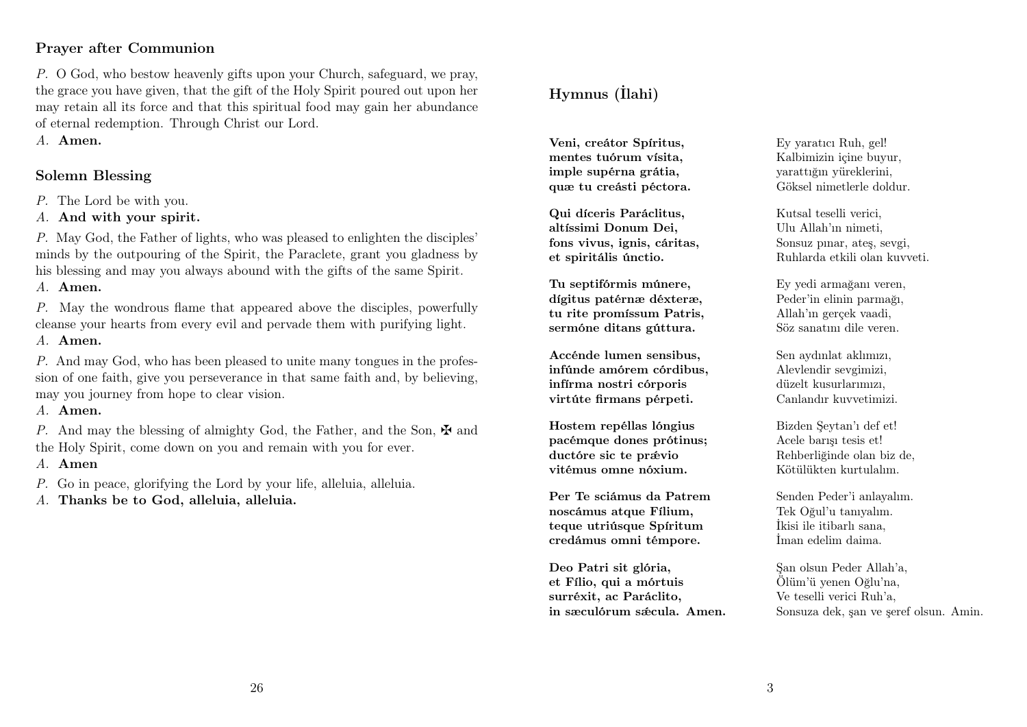#### Prayer after Communion

P. O God, who bestow heavenly gifts upon your Church, safeguard, we pray, the grace you have given, that the gift of the Holy Spirit poured out upon her may retain all its force and that this spiritual food may gain her abundance of eternal redemption. Through Christ our Lord.

A. Amen.

#### Solemn Blessing

P. The Lord be with you.

A. And with your spirit.

P. May God, the Father of lights, who was pleased to enlighten the disciples' minds by the outpouring of the Spirit, the Paraclete, grant you gladness by his blessing and may you always abound with the gifts of the same Spirit.

A. Amen.

P. May the wondrous flame that appeared above the disciples, powerfully cleanse your hearts from every evil and pervade them with purifying light.

#### A. Amen.

P. And may God, who has been pleased to unite many tongues in the profession of one faith, give you perseverance in that same faith and, by believing, may you journey from hope to clear vision.

#### A. Amen.

P. And may the blessing of almighty God, the Father, and the Son,  $\mathbf{\ddot{F}}$  and the Holy Spirit, come down on you and remain with you for ever.

#### A. Amen

P. Go in peace, glorifying the Lord by your life, alleluia, alleluia.

A. Thanks be to God, alleluia, alleluia.

### Hymnus (İlahi)

Veni, creátor Spíritus, mentes tuórum vísita, imple supérna grátia, quæ tu creásti péctora.

Qui díceris Paráclitus, altíssimi Donum Dei, fons vivus, ignis, cáritas, et spiritális únctio.

Tu septifórmis múnere, dígitus patérnæ déxteræ, tu rite promíssum Patris, sermóne ditans gúttura.

Accénde lumen sensibus, infúnde amórem córdibus, infírma nostri córporis virtúte firmans pérpeti.

Hostem repéllas lóngius pacémque dones prótinus; ductóre sic te právio vitémus omne nóxium.

Per Te sciámus da Patrem noscámus atque Fílium. teque utriúsque Spíritum credámus omni témpore.

Deo Patri sit glória, et Fílio, qui a mórtuis surréxit, ac Paráclito, in sæculórum sæcula. Amen.

Ey yaratıcı Ruh, gel! Kalbimizin içine buyur, yarattığın yüreklerini, Göksel nimetlerle doldur.

Kutsal teselli verici, Ulu Allah'ın nimeti, Sonsuz pınar, ateş, sevgi, Ruhlarda etkili olan kuvveti.

Ey yedi armağanı veren, Peder'in elinin parmağı, Allah'ın gerçek vaadi, Söz sanatını dile veren.

Sen aydınlat aklımızı, Alevlendir sevgimizi, düzelt kusurlarımızı, Canlandır kuvvetimizi.

Bizden Şeytan'ı def et! Acele barışı tesis et! Rehberliğinde olan biz de, Kötülükten kurtulalım.

Senden Peder'i anlayalım. Tek Oğul'u tanıyalım. İkisi ile itibarlı sana, İman edelim daima.

Şan olsun Peder Allah'a, Ölüm'ü yenen Oğlu'na, Ve teselli verici Ruh'a, Sonsuza dek, şan ve şeref olsun. Amin.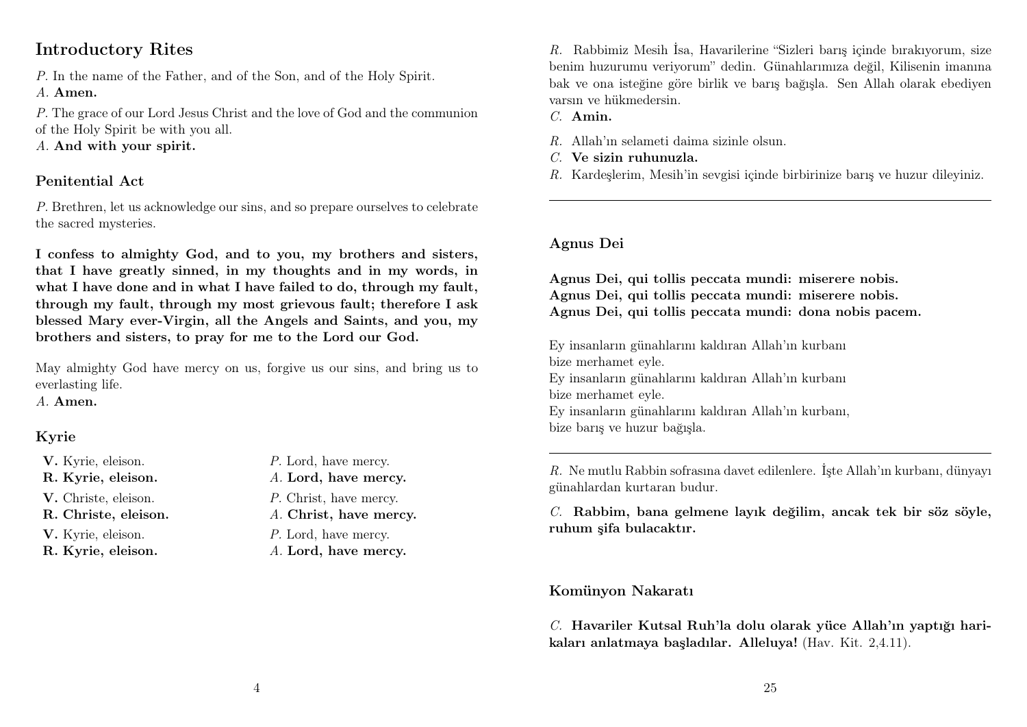### Introductory Rites

P. In the name of the Father, and of the Son, and of the Holy Spirit.

#### A. Amen.

P. The grace of our Lord Jesus Christ and the love of God and the communion of the Holy Spirit be with you all.

A. And with your spirit.

### Penitential Act

P. Brethren, let us acknowledge our sins, and so prepare ourselves to celebrate the sacred mysteries.

I confess to almighty God, and to you, my brothers and sisters, that I have greatly sinned, in my thoughts and in my words, in what I have done and in what I have failed to do, through my fault, through my fault, through my most grievous fault; therefore I ask blessed Mary ever-Virgin, all the Angels and Saints, and you, my brothers and sisters, to pray for me to the Lord our God.

May almighty God have mercy on us, forgive us our sins, and bring us to everlasting life.

A. Amen.

### Kyrie

- **V.** Kyrie, eleison. P. Lord, have mercy.
- 
- 
- 
- 
- 
- 
- R. Kyrie, eleison. A. Lord, have mercy.
- V. Christe, eleison. P. Christ, have mercy.
- R. Christe, eleison. A. Christ, have mercy.
- **V.** Kyrie, eleison.  $P$ . Lord, have mercy.
- R. Kyrie, eleison. A. Lord, have mercy.

R. Rabbimiz Mesih İsa, Havarilerine "Sizleri barış içinde bırakıyorum, size benim huzurumu veriyorum" dedin. Günahlarımıza değil, Kilisenin imanına bak ve ona isteğine göre birlik ve barış bağışla. Sen Allah olarak ebediyen varsın ve hükmedersin.

C. Amin.

- R. Allah'ın selameti daima sizinle olsun.
- C. Ve sizin ruhunuzla.
- R. Kardeşlerim, Mesih'in sevgisi içinde birbirinize barış ve huzur dileyiniz.

#### Agnus Dei

Agnus Dei, qui tollis peccata mundi: miserere nobis. Agnus Dei, qui tollis peccata mundi: miserere nobis. Agnus Dei, qui tollis peccata mundi: dona nobis pacem.

Ey insanların günahlarını kaldıran Allah'ın kurbanı bize merhamet eyle. Ey insanların günahlarını kaldıran Allah'ın kurbanı bize merhamet eyle. Ey insanların günahlarını kaldıran Allah'ın kurbanı, bize barış ve huzur bağışla.

R. Ne mutlu Rabbin sofrasına davet edilenlere. İşte Allah'ın kurbanı, dünyayı günahlardan kurtaran budur.

C. Rabbim, bana gelmene layık değilim, ancak tek bir söz söyle, ruhum şifa bulacaktır.

### Komünyon Nakaratı

C. Havariler Kutsal Ruh'la dolu olarak yüce Allah'ın yaptığı harikaları anlatmaya başladılar. Alleluya! (Hav. Kit. 2,4.11).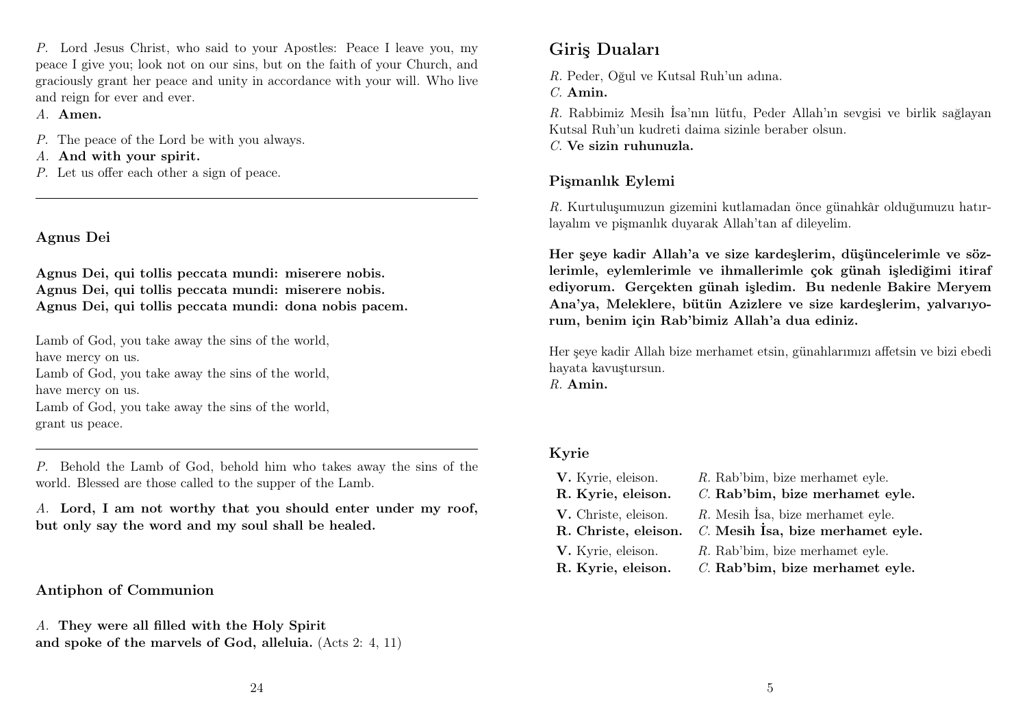P. Lord Jesus Christ, who said to your Apostles: Peace I leave you, my peace I give you; look not on our sins, but on the faith of your Church, and graciously grant her peace and unity in accordance with your will. Who live and reign for ever and ever.

A. Amen.

- P. The peace of the Lord be with you always.
- A. And with your spirit.
- P. Let us offer each other a sign of peace.

### Agnus Dei

Agnus Dei, qui tollis peccata mundi: miserere nobis. Agnus Dei, qui tollis peccata mundi: miserere nobis. Agnus Dei, qui tollis peccata mundi: dona nobis pacem.

Lamb of God, you take away the sins of the world, have mercy on us. Lamb of God, you take away the sins of the world, have mercy on us. Lamb of God, you take away the sins of the world, grant us peace.

P. Behold the Lamb of God, behold him who takes away the sins of the world. Blessed are those called to the supper of the Lamb.

A. Lord, I am not worthy that you should enter under my roof, but only say the word and my soul shall be healed.

Antiphon of Communion

A. They were all filled with the Holy Spirit and spoke of the marvels of God, alleluia. (Acts 2: 4, 11)

## Giriş Duaları

R. Peder, Oğul ve Kutsal Ruh'un adına.

C. Amin.

R. Rabbimiz Mesih İsa'nın lütfu, Peder Allah'ın sevgisi ve birlik sağlayan Kutsal Ruh'un kudreti daima sizinle beraber olsun.

C. Ve sizin ruhunuzla.

### Pişmanlık Eylemi

R. Kurtuluşumuzun gizemini kutlamadan önce günahkâr olduğumuzu hatırlayalım ve pişmanlık duyarak Allah'tan af dileyelim.

Her şeye kadir Allah'a ve size kardeşlerim, düşüncelerimle ve sözlerimle, eylemlerimle ve ihmallerimle çok günah işlediğimi itiraf ediyorum. Gerçekten günah işledim. Bu nedenle Bakire Meryem Ana'ya, Meleklere, bütün Azizlere ve size kardeşlerim, yalvarıyorum, benim için Rab'bimiz Allah'a dua ediniz.

Her şeye kadir Allah bize merhamet etsin, günahlarımızı affetsin ve bizi ebedi hayata kavuştursun.  $R$  Amin.

### Kyrie

| V. Kyrie, eleison.   | R. Rab'bim, bize merhamet eyle.   |
|----------------------|-----------------------------------|
| R. Kyrie, eleison.   | C. Rab'bim, bize merhamet eyle.   |
| V. Christe, eleison. | R. Mesih Isa, bize merhamet eyle. |
| R. Christe, eleison. | C. Mesih İsa, bize merhamet eyle. |
| V. Kyrie, eleison.   | R. Rab'bim, bize merhamet eyle.   |
| R. Kyrie, eleison.   | C. Rab'bim, bize merhamet eyle.   |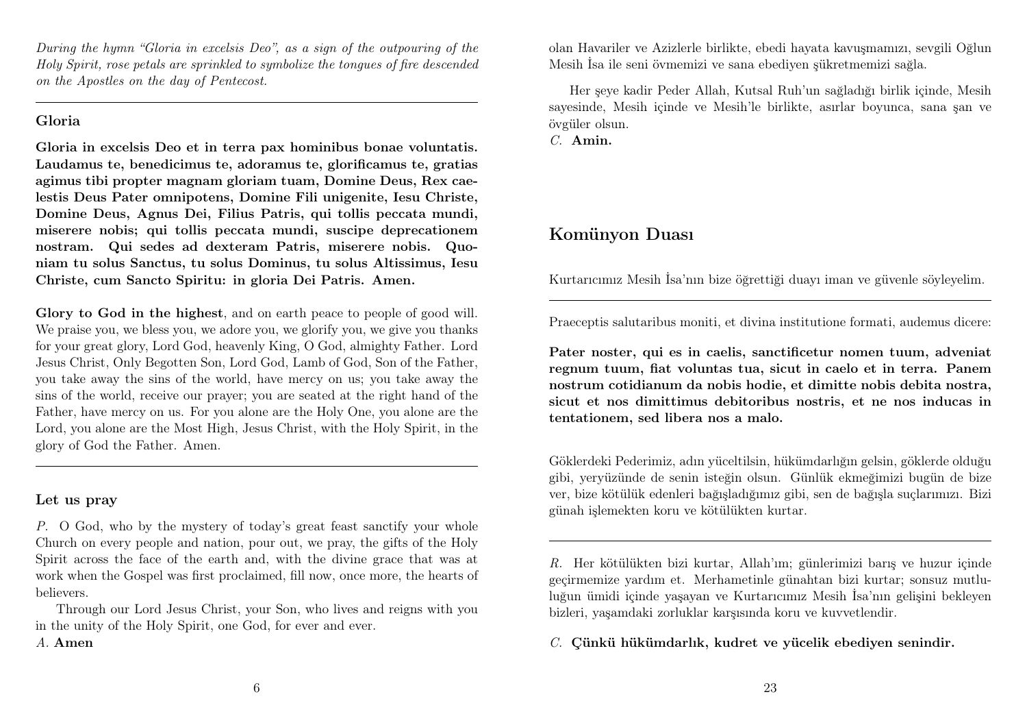During the hymn "Gloria in excelsis Deo", as a sign of the outpouring of the Holy Spirit, rose petals are sprinkled to symbolize the tongues of fire descended on the Apostles on the day of Pentecost.

#### Gloria

Gloria in excelsis Deo et in terra pax hominibus bonae voluntatis. Laudamus te, benedicimus te, adoramus te, glorificamus te, gratias agimus tibi propter magnam gloriam tuam, Domine Deus, Rex caelestis Deus Pater omnipotens, Domine Fili unigenite, Iesu Christe, Domine Deus, Agnus Dei, Filius Patris, qui tollis peccata mundi, miserere nobis; qui tollis peccata mundi, suscipe deprecationem nostram. Qui sedes ad dexteram Patris, miserere nobis. Quoniam tu solus Sanctus, tu solus Dominus, tu solus Altissimus, Iesu Christe, cum Sancto Spiritu: in gloria Dei Patris. Amen.

Glory to God in the highest, and on earth peace to people of good will. We praise you, we bless you, we adore you, we glorify you, we give you thanks for your great glory, Lord God, heavenly King, O God, almighty Father. Lord Jesus Christ, Only Begotten Son, Lord God, Lamb of God, Son of the Father, you take away the sins of the world, have mercy on us; you take away the sins of the world, receive our prayer; you are seated at the right hand of the Father, have mercy on us. For you alone are the Holy One, you alone are the Lord, you alone are the Most High, Jesus Christ, with the Holy Spirit, in the glory of God the Father. Amen.

#### Let us pray

P. O God, who by the mystery of today's great feast sanctify your whole Church on every people and nation, pour out, we pray, the gifts of the Holy Spirit across the face of the earth and, with the divine grace that was at work when the Gospel was first proclaimed, fill now, once more, the hearts of believers.

Through our Lord Jesus Christ, your Son, who lives and reigns with you in the unity of the Holy Spirit, one God, for ever and ever.

olan Havariler ve Azizlerle birlikte, ebedi hayata kavuşmamızı, sevgili Oğlun Mesih İsa ile seni övmemizi ve sana ebediyen şükretmemizi sağla.

Her şeye kadir Peder Allah, Kutsal Ruh'un sağladığı birlik içinde, Mesih sayesinde, Mesih içinde ve Mesih'le birlikte, asırlar boyunca, sana şan ve övgüler olsun.

C. Amin.

### Komünyon Duası

Kurtarıcımız Mesih İsa'nın bize öğrettiği duayı iman ve güvenle söyleyelim.

Praeceptis salutaribus moniti, et divina institutione formati, audemus dicere:

Pater noster, qui es in caelis, sanctificetur nomen tuum, adveniat regnum tuum, fiat voluntas tua, sicut in caelo et in terra. Panem nostrum cotidianum da nobis hodie, et dimitte nobis debita nostra, sicut et nos dimittimus debitoribus nostris, et ne nos inducas in tentationem, sed libera nos a malo.

Göklerdeki Pederimiz, adın yüceltilsin, hükümdarlığın gelsin, göklerde olduğu gibi, yeryüzünde de senin isteğin olsun. Günlük ekmeğimizi bugün de bize ver, bize kötülük edenleri bağışladığımız gibi, sen de bağışla suçlarımızı. Bizi günah işlemekten koru ve kötülükten kurtar.

R. Her kötülükten bizi kurtar, Allah'ım; günlerimizi barış ve huzur içinde geçirmemize yardım et. Merhametinle günahtan bizi kurtar; sonsuz mutluluğun ümidi içinde yaşayan ve Kurtarıcımız Mesih İsa'nın gelişini bekleyen bizleri, yaşamdaki zorluklar karşısında koru ve kuvvetlendir.

C. Çünkü hükümdarlık, kudret ve yücelik ebediyen senindir.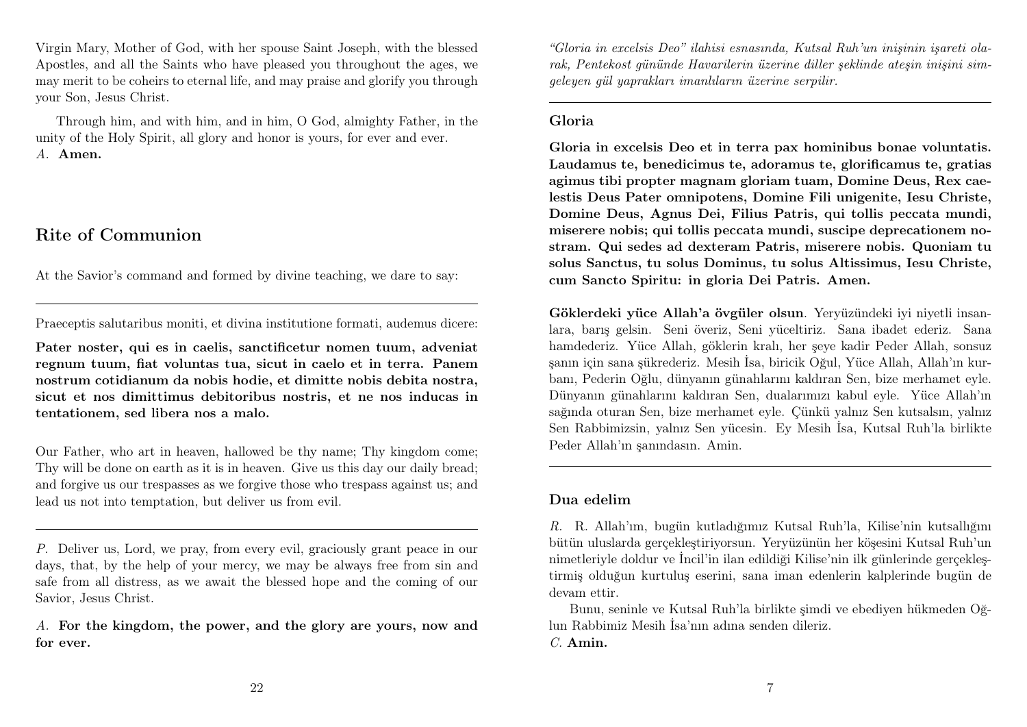Virgin Mary, Mother of God, with her spouse Saint Joseph, with the blessed Apostles, and all the Saints who have pleased you throughout the ages, we may merit to be coheirs to eternal life, and may praise and glorify you through your Son, Jesus Christ.

Through him, and with him, and in him, O God, almighty Father, in the unity of the Holy Spirit, all glory and honor is yours, for ever and ever. A. Amen.

### Rite of Communion

At the Savior's command and formed by divine teaching, we dare to say:

Praeceptis salutaribus moniti, et divina institutione formati, audemus dicere:

Pater noster, qui es in caelis, sanctificetur nomen tuum, adveniat regnum tuum, fiat voluntas tua, sicut in caelo et in terra. Panem nostrum cotidianum da nobis hodie, et dimitte nobis debita nostra, sicut et nos dimittimus debitoribus nostris, et ne nos inducas in tentationem, sed libera nos a malo.

Our Father, who art in heaven, hallowed be thy name; Thy kingdom come; Thy will be done on earth as it is in heaven. Give us this day our daily bread; and forgive us our trespasses as we forgive those who trespass against us; and lead us not into temptation, but deliver us from evil.

P. Deliver us, Lord, we pray, from every evil, graciously grant peace in our days, that, by the help of your mercy, we may be always free from sin and safe from all distress, as we await the blessed hope and the coming of our Savior, Jesus Christ.

A. For the kingdom, the power, and the glory are yours, now and for ever.

"Gloria in excelsis Deo" ilahisi esnasında, Kutsal Ruh'un inişinin işareti olarak, Pentekost gününde Havarilerin üzerine diller şeklinde ateşin inişini simgeleyen gül yaprakları imanlıların üzerine serpilir.

#### Gloria

Gloria in excelsis Deo et in terra pax hominibus bonae voluntatis. Laudamus te, benedicimus te, adoramus te, glorificamus te, gratias agimus tibi propter magnam gloriam tuam, Domine Deus, Rex caelestis Deus Pater omnipotens, Domine Fili unigenite, Iesu Christe, Domine Deus, Agnus Dei, Filius Patris, qui tollis peccata mundi, miserere nobis; qui tollis peccata mundi, suscipe deprecationem nostram. Qui sedes ad dexteram Patris, miserere nobis. Quoniam tu solus Sanctus, tu solus Dominus, tu solus Altissimus, Iesu Christe, cum Sancto Spiritu: in gloria Dei Patris. Amen.

Göklerdeki yüce Allah'a övgüler olsun. Yeryüzündeki iyi niyetli insanlara, barış gelsin. Seni överiz, Seni yüceltiriz. Sana ibadet ederiz. Sana hamdederiz. Yüce Allah, göklerin kralı, her şeye kadir Peder Allah, sonsuz şanın için sana şükrederiz. Mesih İsa, biricik Oğul, Yüce Allah, Allah'ın kurbanı, Pederin Oğlu, dünyanın günahlarını kaldıran Sen, bize merhamet eyle. Dünyanın günahlarını kaldıran Sen, dualarımızı kabul eyle. Yüce Allah'ın sağında oturan Sen, bize merhamet eyle. Çünkü yalnız Sen kutsalsın, yalnız Sen Rabbimizsin, yalnız Sen yücesin. Ey Mesih İsa, Kutsal Ruh'la birlikte Peder Allah'ın şanındasın. Amin.

#### Dua edelim

R. R. Allah'ım, bugün kutladığımız Kutsal Ruh'la, Kilise'nin kutsallığını bütün uluslarda gerçekleştiriyorsun. Yeryüzünün her köşesini Kutsal Ruh'un nimetleriyle doldur ve İncil'in ilan edildiği Kilise'nin ilk günlerinde gerçekleştirmiş olduğun kurtuluş eserini, sana iman edenlerin kalplerinde bugün de devam ettir.

Bunu, seninle ve Kutsal Ruh'la birlikte şimdi ve ebediyen hükmeden Oğlun Rabbimiz Mesih İsa'nın adına senden dileriz. C. Amin.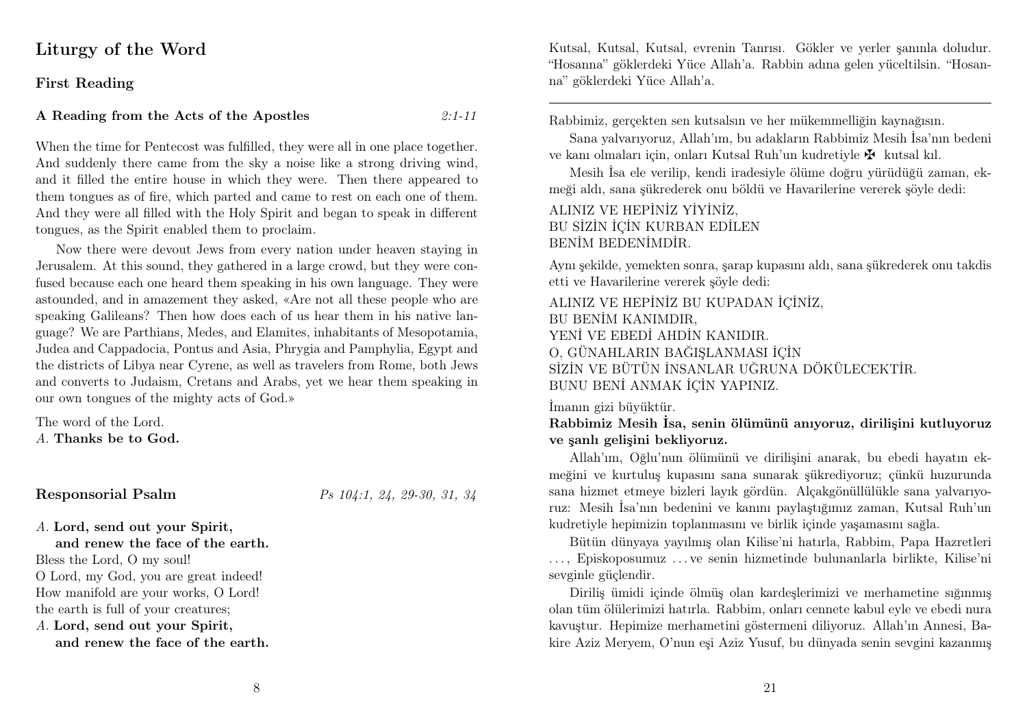### Liturgy of the Word

#### First Reading

#### A Reading from the Acts of the Apostles  $2:1-11$

When the time for Pentecost was fulfilled, they were all in one place together. And suddenly there came from the sky a noise like a strong driving wind, and it filled the entire house in which they were. Then there appeared to them tongues as of fire, which parted and came to rest on each one of them. And they were all filled with the Holy Spirit and began to speak in different tongues, as the Spirit enabled them to proclaim.

Now there were devout Jews from every nation under heaven staying in Jerusalem. At this sound, they gathered in a large crowd, but they were confused because each one heard them speaking in his own language. They were astounded, and in amazement they asked, «Are not all these people who are speaking Galileans? Then how does each of us hear them in his native language? We are Parthians, Medes, and Elamites, inhabitants of Mesopotamia, Judea and Cappadocia, Pontus and Asia, Phrygia and Pamphylia, Egypt and the districts of Libya near Cyrene, as well as travelers from Rome, both Jews and converts to Judaism, Cretans and Arabs, yet we hear them speaking in our own tongues of the mighty acts of God.»

The word of the Lord. A. Thanks be to God.

#### Responsorial Psalm Ps 104:1, 24, 29-30, 31, 34

A. Lord, send out your Spirit,

and renew the face of the earth.

Bless the Lord, O my soul!

O Lord, my God, you are great indeed! How manifold are your works, O Lord!

the earth is full of your creatures;

A. Lord, send out your Spirit,

and renew the face of the earth.

Kutsal, Kutsal, Kutsal, evrenin Tanrısı. Gökler ve yerler şanınla doludur. "Hosanna" göklerdeki Yüce Allah'a. Rabbin adına gelen yüceltilsin. "Hosanna" göklerdeki Yüce Allah'a.

Rabbimiz, gerçekten sen kutsalsın ve her mükemmelliğin kaynağısın.

Sana yalvarıyoruz, Allah'ım, bu adakların Rabbimiz Mesih İsa'nın bedeni ve kanı olmaları için, onları Kutsal Ruh'un kudretiyle  $\mathbf{\ddot{F}}$  kutsal kıl.

Mesih İsa ele verilip, kendi iradesiyle ölüme doğru yürüdüğü zaman, ekmeği aldı, sana şükrederek onu böldü ve Havarilerine vererek şöyle dedi:

ALINIZ VE HEPİNİZ YİYİNİZ, BU SİZİN İÇİN KURBAN EDİLEN BENİM BEDENİMDİR.

Aynı şekilde, yemekten sonra, şarap kupasını aldı, sana şükrederek onu takdis etti ve Havarilerine vererek şöyle dedi:

ALINIZ VE HEPİNİZ BU KUPADAN İÇİNİZ, BU BENİM KANIMDIR, YENİ VE EBEDİ AHDİN KANIDIR. O, GÜNAHLARIN BAĞIŞLANMASI İÇİN SİZİN VE BÜTÜN İNSANLAR UĞRUNA DÖKÜLECEKTİR. BUNU BENİ ANMAK İÇİN YAPINIZ.

İmanın gizi büyüktür.

#### Rabbimiz Mesih İsa, senin ölümünü anıyoruz, dirilişini kutluyoruz ve şanlı gelişini bekliyoruz.

Allah'ım, Oğlu'nun ölümünü ve dirilişini anarak, bu ebedi hayatın ekmeğini ve kurtuluş kupasını sana sunarak şükrediyoruz; çünkü huzurunda sana hizmet etmeye bizleri layık gördün. Alçakgönüllülükle sana yalvarıyoruz: Mesih İsa'nın bedenini ve kanını paylaştığımız zaman, Kutsal Ruh'un kudretiyle hepimizin toplanmasını ve birlik içinde yaşamasını sağla.

Bütün dünyaya yayılmış olan Kilise'ni hatırla, Rabbim, Papa Hazretleri . . . , Episkoposumuz . . . ve senin hizmetinde bulunanlarla birlikte, Kilise'ni sevginle güçlendir.

Diriliş ümidi içinde ölmüş olan kardeşlerimizi ve merhametine sığınmış olan tüm ölülerimizi hatırla. Rabbim, onları cennete kabul eyle ve ebedi nura kavuştur. Hepimize merhametini göstermeni diliyoruz. Allah'ın Annesi, Bakire Aziz Meryem, O'nun eşi Aziz Yusuf, bu dünyada senin sevgini kazanmış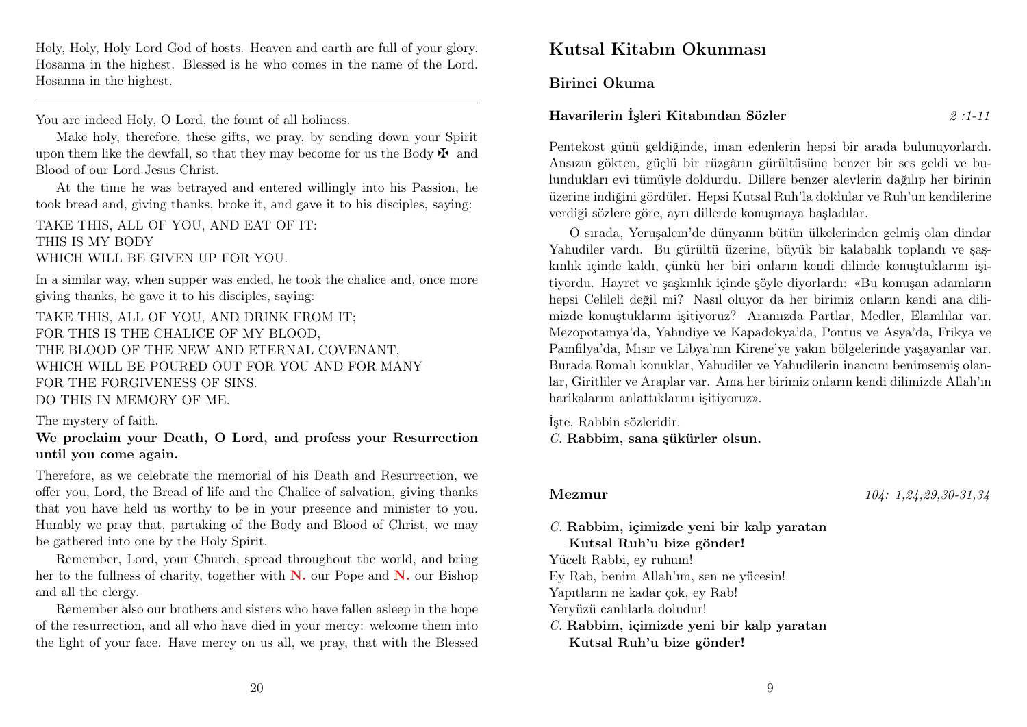Holy, Holy, Holy Lord God of hosts. Heaven and earth are full of your glory. Hosanna in the highest. Blessed is he who comes in the name of the Lord. Hosanna in the highest.

You are indeed Holy, O Lord, the fount of all holiness.

Make holy, therefore, these gifts, we pray, by sending down your Spirit upon them like the dewfall, so that they may become for us the Body  $\mathbf{\ddot{F}}$  and Blood of our Lord Jesus Christ.

At the time he was betrayed and entered willingly into his Passion, he took bread and, giving thanks, broke it, and gave it to his disciples, saying:

TAKE THIS, ALL OF YOU, AND EAT OF IT: THIS IS MY BODY WHICH WILL BE GIVEN UP FOR YOU.

In a similar way, when supper was ended, he took the chalice and, once more giving thanks, he gave it to his disciples, saying:

TAKE THIS, ALL OF YOU, AND DRINK FROM IT; FOR THIS IS THE CHALICE OF MY BLOOD, THE BLOOD OF THE NEW AND ETERNAL COVENANT, WHICH WILL BE POURED OUT FOR YOU AND FOR MANY FOR THE FORGIVENESS OF SINS. DO THIS IN MEMORY OF ME.

The mystery of faith.

#### We proclaim your Death, O Lord, and profess your Resurrection until you come again.

Therefore, as we celebrate the memorial of his Death and Resurrection, we offer you, Lord, the Bread of life and the Chalice of salvation, giving thanks that you have held us worthy to be in your presence and minister to you. Humbly we pray that, partaking of the Body and Blood of Christ, we may be gathered into one by the Holy Spirit.

Remember, Lord, your Church, spread throughout the world, and bring her to the fullness of charity, together with  $N$ , our Pope and  $N$ , our Bishop and all the clergy.

Remember also our brothers and sisters who have fallen asleep in the hope of the resurrection, and all who have died in your mercy: welcome them into the light of your face. Have mercy on us all, we pray, that with the Blessed

### Kutsal Kitabın Okunması

Birinci Okuma

#### Havarilerin İşleri Kitabından Sözler 2 :1-11

Pentekost günü geldiğinde, iman edenlerin hepsi bir arada bulunuyorlardı. Ansızın gökten, güçlü bir rüzgârın gürültüsüne benzer bir ses geldi ve bulundukları evi tümüyle doldurdu. Dillere benzer alevlerin dağılıp her birinin üzerine indiğini gördüler. Hepsi Kutsal Ruh'la doldular ve Ruh'un kendilerine verdiği sözlere göre, ayrı dillerde konuşmaya başladılar.

O sırada, Yeruşalem'de dünyanın bütün ülkelerinden gelmiş olan dindar Yahudiler vardı. Bu gürültü üzerine, büyük bir kalabalık toplandı ve şaşkınlık içinde kaldı, çünkü her biri onların kendi dilinde konuştuklarını işitiyordu. Hayret ve şaşkınlık içinde şöyle diyorlardı: «Bu konuşan adamların hepsi Celileli değil mi? Nasıl oluyor da her birimiz onların kendi ana dilimizde konuştuklarını işitiyoruz? Aramızda Partlar, Medler, Elamlılar var. Mezopotamya'da, Yahudiye ve Kapadokya'da, Pontus ve Asya'da, Frikya ve Pamfilya'da, Mısır ve Libya'nın Kirene'ye yakın bölgelerinde yaşayanlar var. Burada Romalı konuklar, Yahudiler ve Yahudilerin inancını benimsemiş olanlar, Giritliler ve Araplar var. Ama her birimiz onların kendi dilimizde Allah'ın harikalarını anlattıklarını işitiyoruz».

İşte, Rabbin sözleridir. C. Rabbim, sana şükürler olsun.

Mezmur 104: 1,24,29,30-31,34

C. Rabbim, içimizde yeni bir kalp yaratan Kutsal Ruh'u bize gönder!

Yücelt Rabbi, ey ruhum!

Ey Rab, benim Allah'ım, sen ne yücesin!

Yapıtların ne kadar çok, ey Rab!

Yeryüzü canlılarla doludur!

C. Rabbim, içimizde yeni bir kalp yaratan Kutsal Ruh'u bize gönder!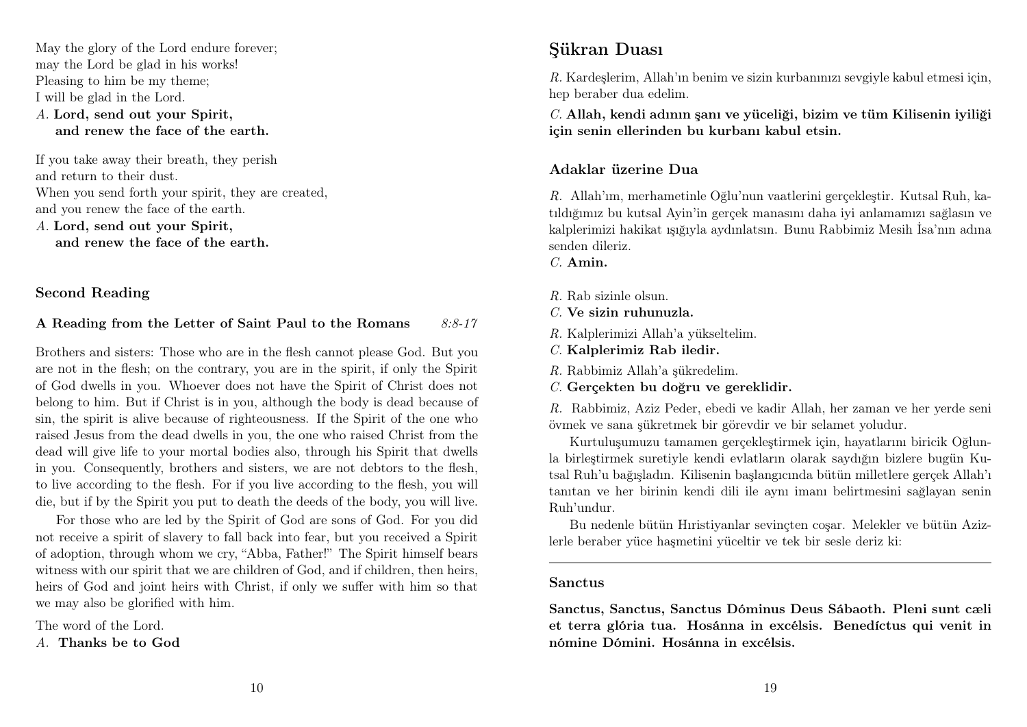May the glory of the Lord endure forever; may the Lord be glad in his works! Pleasing to him be my theme; I will be glad in the Lord. A. Lord, send out your Spirit, and renew the face of the earth.

If you take away their breath, they perish and return to their dust. When you send forth your spirit, they are created, and you renew the face of the earth. A. Lord, send out your Spirit, and renew the face of the earth.

Second Reading

#### A Reading from the Letter of Saint Paul to the Romans  $8:8-17$

Brothers and sisters: Those who are in the flesh cannot please God. But you are not in the flesh; on the contrary, you are in the spirit, if only the Spirit of God dwells in you. Whoever does not have the Spirit of Christ does not belong to him. But if Christ is in you, although the body is dead because of sin, the spirit is alive because of righteousness. If the Spirit of the one who raised Jesus from the dead dwells in you, the one who raised Christ from the dead will give life to your mortal bodies also, through his Spirit that dwells in you. Consequently, brothers and sisters, we are not debtors to the flesh, to live according to the flesh. For if you live according to the flesh, you will die, but if by the Spirit you put to death the deeds of the body, you will live.

For those who are led by the Spirit of God are sons of God. For you did not receive a spirit of slavery to fall back into fear, but you received a Spirit of adoption, through whom we cry, "Abba, Father!" The Spirit himself bears witness with our spirit that we are children of God, and if children, then heirs, heirs of God and joint heirs with Christ, if only we suffer with him so that we may also be glorified with him.

The word of the Lord. A. Thanks be to God

### Şükran Duası

R. Kardeşlerim, Allah'ın benim ve sizin kurbanınızı sevgiyle kabul etmesi için, hep beraber dua edelim.

C. Allah, kendi adının şanı ve yüceliği, bizim ve tüm Kilisenin iyiliği için senin ellerinden bu kurbanı kabul etsin.

#### Adaklar üzerine Dua

R. Allah'ım, merhametinle Oğlu'nun vaatlerini gerçekleştir. Kutsal Ruh, katıldığımız bu kutsal Ayin'in gerçek manasını daha iyi anlamamızı sağlasın ve kalplerimizi hakikat ışığıyla aydınlatsın. Bunu Rabbimiz Mesih İsa'nın adına senden dileriz.

C. Amin.

- R. Rab sizinle olsun.
- $C$ . Ve sizin ruhunuzla.
- R. Kalplerimizi Allah'a yükseltelim.
- C. Kalplerimiz Rab iledir.
- R. Rabbimiz Allah'a şükredelim.
- C. Gerçekten bu doğru ve gereklidir.

R. Rabbimiz, Aziz Peder, ebedi ve kadir Allah, her zaman ve her yerde seni övmek ve sana şükretmek bir görevdir ve bir selamet yoludur.

Kurtuluşumuzu tamamen gerçekleştirmek için, hayatlarını biricik Oğlunla birleştirmek suretiyle kendi evlatların olarak saydığın bizlere bugün Kutsal Ruh'u bağışladın. Kilisenin başlangıcında bütün milletlere gerçek Allah'ı tanıtan ve her birinin kendi dili ile aynı imanı belirtmesini sağlayan senin Ruh'undur.

Bu nedenle bütün Hıristiyanlar sevinçten coşar. Melekler ve bütün Azizlerle beraber yüce haşmetini yüceltir ve tek bir sesle deriz ki:

#### Sanctus

Sanctus, Sanctus, Sanctus Dóminus Deus Sábaoth. Pleni sunt cæli et terra glória tua. Hosánna in excélsis. Benedíctus qui venit in nómine Dómini. Hosánna in excélsis.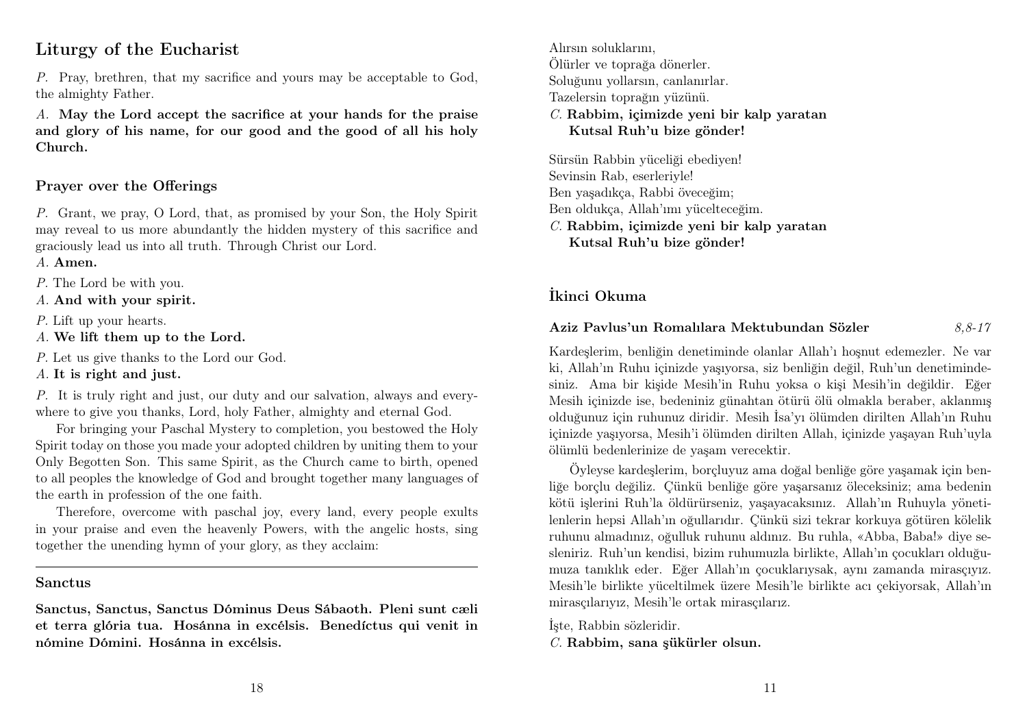### Liturgy of the Eucharist

P. Pray, brethren, that my sacrifice and yours may be acceptable to God, the almighty Father.

A. May the Lord accept the sacrifice at your hands for the praise and glory of his name, for our good and the good of all his holy Church.

#### Prayer over the Offerings

P. Grant, we pray, O Lord, that, as promised by your Son, the Holy Spirit may reveal to us more abundantly the hidden mystery of this sacrifice and graciously lead us into all truth. Through Christ our Lord.

- A. Amen.
- P. The Lord be with you.
- A. And with your spirit.
- P. Lift up your hearts.
- A. We lift them up to the Lord.
- P. Let us give thanks to the Lord our God.
- A. It is right and just.

P. It is truly right and just, our duty and our salvation, always and everywhere to give you thanks, Lord, holy Father, almighty and eternal God.

For bringing your Paschal Mystery to completion, you bestowed the Holy Spirit today on those you made your adopted children by uniting them to your Only Begotten Son. This same Spirit, as the Church came to birth, opened to all peoples the knowledge of God and brought together many languages of the earth in profession of the one faith.

Therefore, overcome with paschal joy, every land, every people exults in your praise and even the heavenly Powers, with the angelic hosts, sing together the unending hymn of your glory, as they acclaim:

#### Sanctus

Sanctus, Sanctus, Sanctus Dóminus Deus Sábaoth. Pleni sunt cæli et terra glória tua. Hosánna in excélsis. Benedíctus qui venit in nómine Dómini. Hosánna in excélsis.

Alırsın soluklarını, Ölürler ve toprağa dönerler. Soluğunu yollarsın, canlanırlar. Tazelersin toprağın yüzünü. C. Rabbim, içimizde yeni bir kalp yaratan Kutsal Ruh'u bize gönder!

Sürsün Rabbin yüceliği ebediyen! Sevinsin Rab, eserleriyle! Ben yaşadıkça, Rabbi öveceğim; Ben oldukça, Allah'ımı yücelteceğim. C. Rabbim, içimizde yeni bir kalp yaratan Kutsal Ruh'u bize gönder!

#### İkinci Okuma

#### Aziz Pavlus'un Romalılara Mektubundan Sözler 8,8-17

Kardeşlerim, benliğin denetiminde olanlar Allah'ı hoşnut edemezler. Ne var ki, Allah'ın Ruhu içinizde yaşıyorsa, siz benliğin değil, Ruh'un denetimindesiniz. Ama bir kişide Mesih'in Ruhu yoksa o kişi Mesih'in değildir. Eğer Mesih içinizde ise, bedeniniz günahtan ötürü ölü olmakla beraber, aklanmış olduğunuz için ruhunuz diridir. Mesih İsa'yı ölümden dirilten Allah'ın Ruhu içinizde yaşıyorsa, Mesih'i ölümden dirilten Allah, içinizde yaşayan Ruh'uyla ölümlü bedenlerinize de yaşam verecektir.

Öyleyse kardeşlerim, borçluyuz ama doğal benliğe göre yaşamak için benliğe borçlu değiliz. Çünkü benliğe göre yaşarsanız öleceksiniz; ama bedenin kötü işlerini Ruh'la öldürürseniz, yaşayacaksınız. Allah'ın Ruhuyla yönetilenlerin hepsi Allah'ın oğullarıdır. Çünkü sizi tekrar korkuya götüren kölelik ruhunu almadınız, oğulluk ruhunu aldınız. Bu ruhla, «Abba, Baba!» diye sesleniriz. Ruh'un kendisi, bizim ruhumuzla birlikte, Allah'ın çocukları olduğumuza tanıklık eder. Eğer Allah'ın çocuklarıysak, aynı zamanda mirasçıyız. Mesih'le birlikte yüceltilmek üzere Mesih'le birlikte acı çekiyorsak, Allah'ın mirasçılarıyız, Mesih'le ortak mirasçılarız.

İşte, Rabbin sözleridir. C. Rabbim, sana şükürler olsun.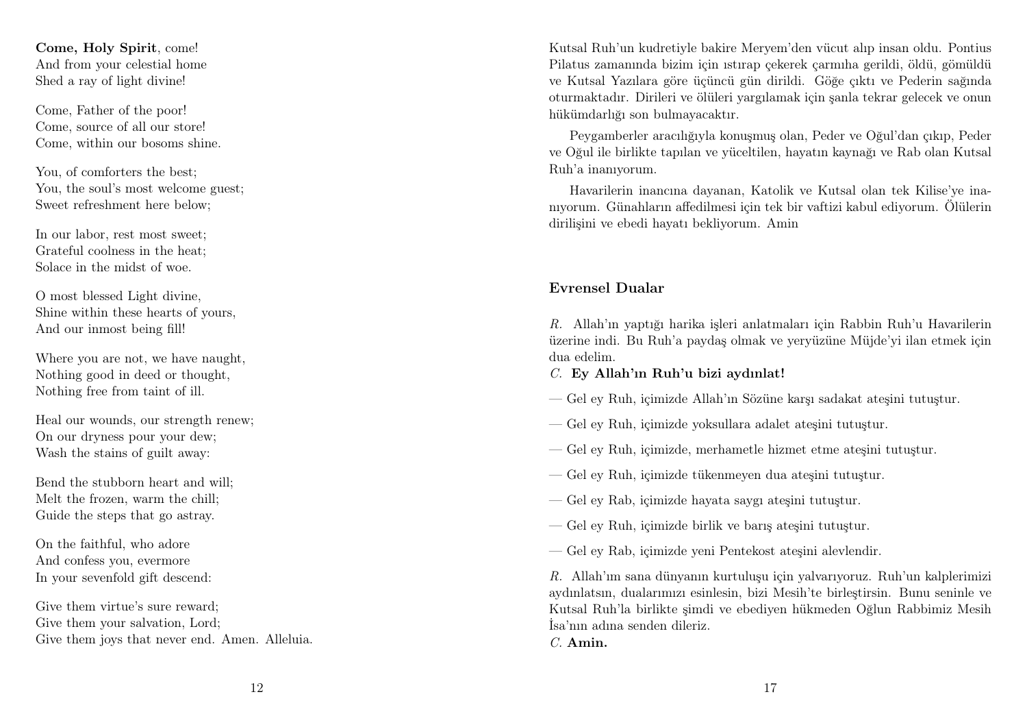Come, Holy Spirit, come! And from your celestial home Shed a ray of light divine!

Come, Father of the poor! Come, source of all our store! Come, within our bosoms shine.

You, of comforters the best; You, the soul's most welcome guest; Sweet refreshment here below;

In our labor, rest most sweet; Grateful coolness in the heat; Solace in the midst of woe.

O most blessed Light divine, Shine within these hearts of yours, And our inmost being fill!

Where you are not, we have naught, Nothing good in deed or thought, Nothing free from taint of ill.

Heal our wounds, our strength renew; On our dryness pour your dew; Wash the stains of guilt away:

Bend the stubborn heart and will; Melt the frozen, warm the chill; Guide the steps that go astray.

On the faithful, who adore And confess you, evermore In your sevenfold gift descend:

Give them virtue's sure reward; Give them your salvation, Lord; Give them joys that never end. Amen. Alleluia. Kutsal Ruh'un kudretiyle bakire Meryem'den vücut alıp insan oldu. Pontius Pilatus zamanında bizim için ıstırap çekerek çarmıha gerildi, öldü, gömüldü ve Kutsal Yazılara göre üçüncü gün dirildi. Göğe çıktı ve Pederin sağında oturmaktadır. Dirileri ve ölüleri yargılamak için şanla tekrar gelecek ve onun hükümdarlığı son bulmayacaktır.

Peygamberler aracılığıyla konuşmuş olan, Peder ve Oğul'dan çıkıp, Peder ve Oğul ile birlikte tapılan ve yüceltilen, hayatın kaynağı ve Rab olan Kutsal Ruh'a inanıyorum.

Havarilerin inancına dayanan, Katolik ve Kutsal olan tek Kilise'ye inanıyorum. Günahların affedilmesi için tek bir vaftizi kabul ediyorum. Ölülerin dirilişini ve ebedi hayatı bekliyorum. Amin

#### Evrensel Dualar

R. Allah'ın yaptığı harika işleri anlatmaları için Rabbin Ruh'u Havarilerin üzerine indi. Bu Ruh'a paydaş olmak ve yeryüzüne Müjde'yi ilan etmek için dua edelim.

- C. Ey Allah'ın Ruh'u bizi aydınlat!
- Gel ey Ruh, içimizde Allah'ın Sözüne karşı sadakat ateşini tutuştur.
- Gel ey Ruh, içimizde yoksullara adalet ateşini tutuştur.
- Gel ey Ruh, içimizde, merhametle hizmet etme ateşini tutuştur.
- Gel ey Ruh, içimizde tükenmeyen dua ateşini tutuştur.
- Gel ey Rab, içimizde hayata saygı ateşini tutuştur.
- Gel ey Ruh, içimizde birlik ve barış ateşini tutuştur.
- Gel ey Rab, içimizde yeni Pentekost ateşini alevlendir.

R. Allah'ım sana dünyanın kurtuluşu için yalvarıyoruz. Ruh'un kalplerimizi aydınlatsın, dualarımızı esinlesin, bizi Mesih'te birleştirsin. Bunu seninle ve Kutsal Ruh'la birlikte şimdi ve ebediyen hükmeden Oğlun Rabbimiz Mesih İsa'nın adına senden dileriz.

C. Amin.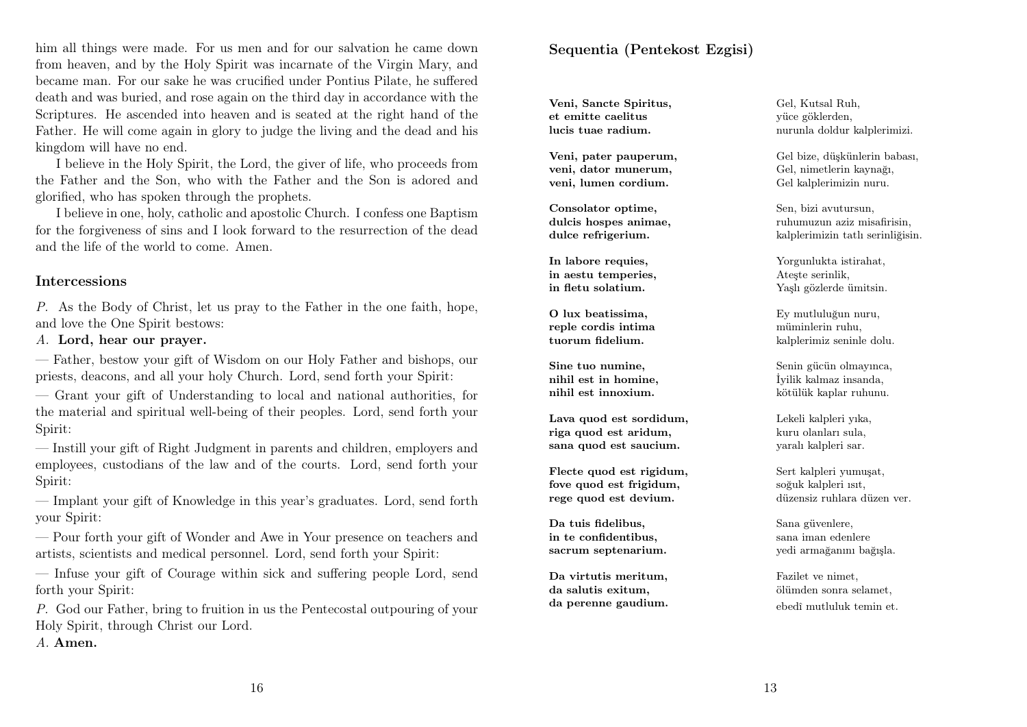him all things were made. For us men and for our salvation he came down from heaven, and by the Holy Spirit was incarnate of the Virgin Mary, and became man. For our sake he was crucified under Pontius Pilate, he suffered death and was buried, and rose again on the third day in accordance with the Scriptures. He ascended into heaven and is seated at the right hand of the Father. He will come again in glory to judge the living and the dead and his kingdom will have no end.

I believe in the Holy Spirit, the Lord, the giver of life, who proceeds from the Father and the Son, who with the Father and the Son is adored and glorified, who has spoken through the prophets.

I believe in one, holy, catholic and apostolic Church. I confess one Baptism for the forgiveness of sins and I look forward to the resurrection of the dead and the life of the world to come. Amen.

#### Intercessions

P. As the Body of Christ, let us pray to the Father in the one faith, hope, and love the One Spirit bestows:

#### A. Lord, hear our prayer.

— Father, bestow your gift of Wisdom on our Holy Father and bishops, our priests, deacons, and all your holy Church. Lord, send forth your Spirit:

— Grant your gift of Understanding to local and national authorities, for the material and spiritual well-being of their peoples. Lord, send forth your Spirit:

— Instill your gift of Right Judgment in parents and children, employers and employees, custodians of the law and of the courts. Lord, send forth your Spirit:

— Implant your gift of Knowledge in this year's graduates. Lord, send forth your Spirit:

— Pour forth your gift of Wonder and Awe in Your presence on teachers and artists, scientists and medical personnel. Lord, send forth your Spirit:

— Infuse your gift of Courage within sick and suffering people Lord, send forth your Spirit:

P. God our Father, bring to fruition in us the Pentecostal outpouring of your Holy Spirit, through Christ our Lord.

A. Amen.

#### Sequentia (Pentekost Ezgisi)

Veni, Sancte Spiritus, et emitte caelitus lucis tuae radium.

Veni, pater pauperum, veni, dator munerum, veni, lumen cordium.

Consolator optime, dulcis hospes animae, dulce refrigerium.

In labore requies. in aestu temperies, in fletu solatium.

O lux beatissima, reple cordis intima tuorum fidelium.

Sine tuo numine, nihil est in homine, nihil est innoxium.

Lava quod est sordidum, riga quod est aridum, sana quod est saucium.

Flecte quod est rigidum, fove quod est frigidum, rege quod est devium.

Da tuis fidelibus, in te confidentibus, sacrum septenarium.

Da virtutis meritum, da salutis exitum, da perenne gaudium.

Gel, Kutsal Ruh, yüce göklerden, nurunla doldur kalplerimizi.

Gel bize, düşkünlerin babası, Gel, nimetlerin kaynağı, Gel kalplerimizin nuru.

Sen, bizi avutursun, ruhumuzun aziz misafirisin, kalplerimizin tatlı serinliğisin.

Yorgunlukta istirahat, Ateşte serinlik, Yaşlı gözlerde ümitsin.

Ey mutluluğun nuru, müminlerin ruhu, kalplerimiz seninle dolu.

Senin gücün olmayınca, İyilik kalmaz insanda, kötülük kaplar ruhunu.

Lekeli kalpleri yıka, kuru olanları sula, yaralı kalpleri sar.

Sert kalpleri yumuşat, soğuk kalpleri ısıt, düzensiz ruhlara düzen ver.

Sana güvenlere, sana iman edenlere yedi armağanını bağışla.

Fazilet ve nimet, ölümden sonra selamet, ebedî mutluluk temin et.